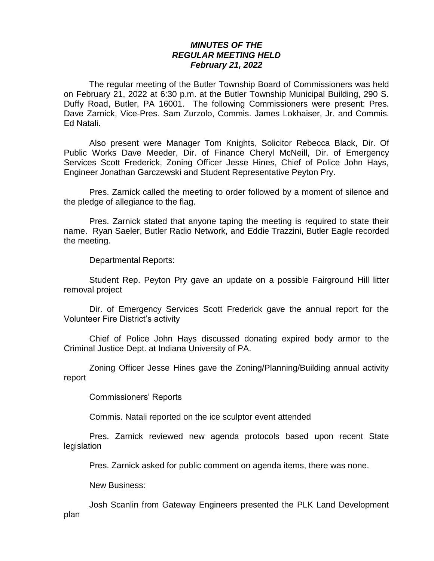## *MINUTES OF THE REGULAR MEETING HELD February 21, 2022*

The regular meeting of the Butler Township Board of Commissioners was held on February 21, 2022 at 6:30 p.m. at the Butler Township Municipal Building, 290 S. Duffy Road, Butler, PA 16001. The following Commissioners were present: Pres. Dave Zarnick, Vice-Pres. Sam Zurzolo, Commis. James Lokhaiser, Jr. and Commis. Ed Natali.

Also present were Manager Tom Knights, Solicitor Rebecca Black, Dir. Of Public Works Dave Meeder, Dir. of Finance Cheryl McNeill, Dir. of Emergency Services Scott Frederick, Zoning Officer Jesse Hines, Chief of Police John Hays, Engineer Jonathan Garczewski and Student Representative Peyton Pry.

Pres. Zarnick called the meeting to order followed by a moment of silence and the pledge of allegiance to the flag.

Pres. Zarnick stated that anyone taping the meeting is required to state their name. Ryan Saeler, Butler Radio Network, and Eddie Trazzini, Butler Eagle recorded the meeting.

Departmental Reports:

Student Rep. Peyton Pry gave an update on a possible Fairground Hill litter removal project

Dir. of Emergency Services Scott Frederick gave the annual report for the Volunteer Fire District's activity

Chief of Police John Hays discussed donating expired body armor to the Criminal Justice Dept. at Indiana University of PA.

Zoning Officer Jesse Hines gave the Zoning/Planning/Building annual activity report

Commissioners' Reports

Commis. Natali reported on the ice sculptor event attended

Pres. Zarnick reviewed new agenda protocols based upon recent State legislation

Pres. Zarnick asked for public comment on agenda items, there was none.

New Business:

Josh Scanlin from Gateway Engineers presented the PLK Land Development plan